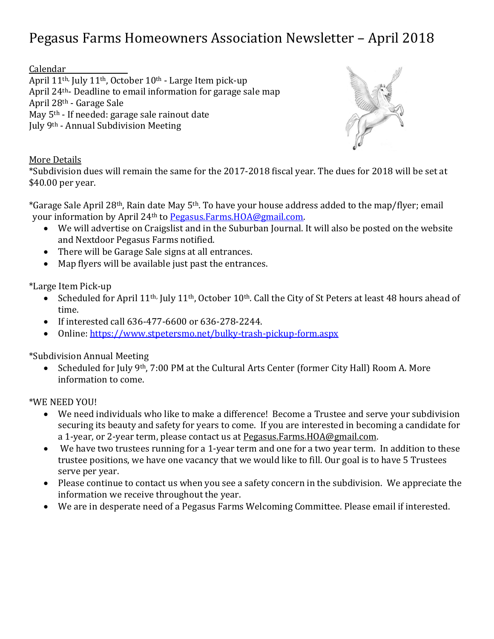## Pegasus Farms Homeowners Association Newsletter – April 2018

Calendar

April 11th, July 11th, October 10th - Large Item pick-up April 24th- Deadline to email information for garage sale map April 28th - Garage Sale May 5th - If needed: garage sale rainout date July 9th - Annual Subdivision Meeting



More Details

\*Subdivision dues will remain the same for the 2017-2018 fiscal year. The dues for 2018 will be set at \$40.00 per year.

\*Garage Sale April 28th, Rain date May 5th. To have your house address added to the map/flyer; email your information by April 24th to [Pegasus.Farms.HOA@gmail.com.](mailto:Pegasus.Farms.HOA@gmail.com)

- We will advertise on Craigslist and in the Suburban Journal. It will also be posted on the website and Nextdoor Pegasus Farms notified.
- There will be Garage Sale signs at all entrances.
- Map flyers will be available just past the entrances.

\*Large Item Pick-up

- Scheduled for April 11<sup>th,</sup> July 11<sup>th</sup>, October 10<sup>th</sup>. Call the City of St Peters at least 48 hours ahead of time.
- If interested call 636-477-6600 or 636-278-2244.
- Online:<https://www.stpetersmo.net/bulky-trash-pickup-form.aspx>

\*Subdivision Annual Meeting

• Scheduled for July 9<sup>th</sup>, 7:00 PM at the Cultural Arts Center (former City Hall) Room A. More information to come.

\*WE NEED YOU!

- We need individuals who like to make a difference! Become a Trustee and serve your subdivision securing its beauty and safety for years to come. If you are interested in becoming a candidate for a 1-year, or 2-year term, please contact us at [Pegasus.Farms.HOA@gmail.com.](mailto:Pegasus.Farms.HOA@gmail.com)
- We have two trustees running for a 1-year term and one for a two year term. In addition to these trustee positions, we have one vacancy that we would like to fill. Our goal is to have 5 Trustees serve per year.
- Please continue to contact us when you see a safety concern in the subdivision. We appreciate the information we receive throughout the year.
- We are in desperate need of a Pegasus Farms Welcoming Committee. Please email if interested.